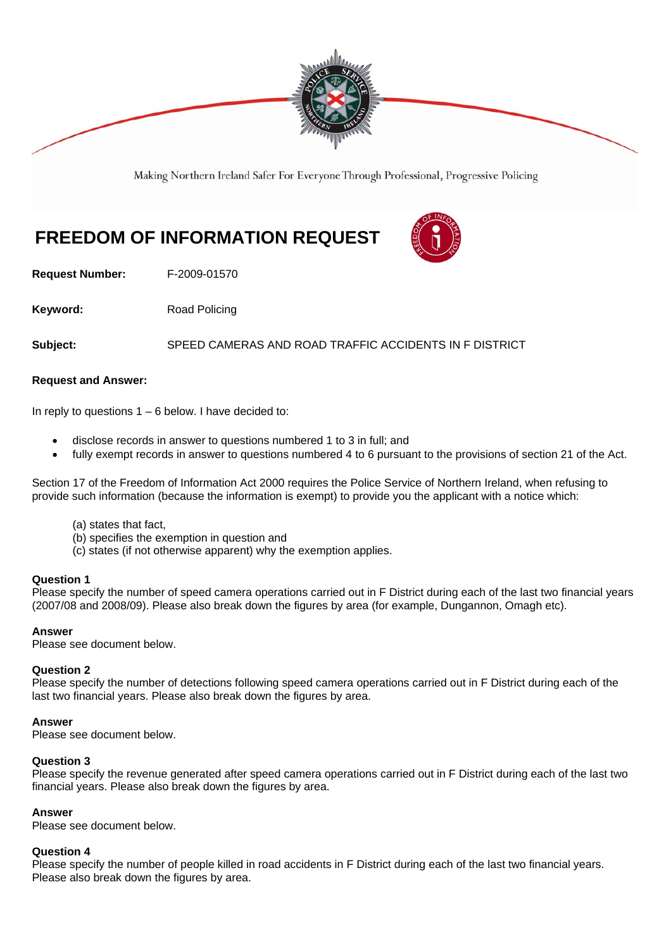

Making Northern Ireland Safer For Everyone Through Professional, Progressive Policing

# **FREEDOM OF INFORMATION REQUEST**



**Request Number:** F-2009-01570

**Keyword:** Road Policing

**Subject:** SPEED CAMERAS AND ROAD TRAFFIC ACCIDENTS IN F DISTRICT

# **Request and Answer:**

In reply to questions  $1 - 6$  below. I have decided to:

- disclose records in answer to questions numbered 1 to 3 in full; and
- fully exempt records in answer to questions numbered 4 to 6 pursuant to the provisions of section 21 of the Act.

Section 17 of the Freedom of Information Act 2000 requires the Police Service of Northern Ireland, when refusing to provide such information (because the information is exempt) to provide you the applicant with a notice which:

- (a) states that fact,
- (b) specifies the exemption in question and
- (c) states (if not otherwise apparent) why the exemption applies.

#### **Question 1**

Please specify the number of speed camera operations carried out in F District during each of the last two financial years (2007/08 and 2008/09). Please also break down the figures by area (for example, Dungannon, Omagh etc).

# **Answer**

Please see document below.

#### **Question 2**

Please specify the number of detections following speed camera operations carried out in F District during each of the last two financial years. Please also break down the figures by area.

#### **Answer**

Please see document below.

#### **Question 3**

Please specify the revenue generated after speed camera operations carried out in F District during each of the last two financial years. Please also break down the figures by area.

#### **Answer**

Please see document below.

#### **Question 4**

Please specify the number of people killed in road accidents in F District during each of the last two financial years. Please also break down the figures by area.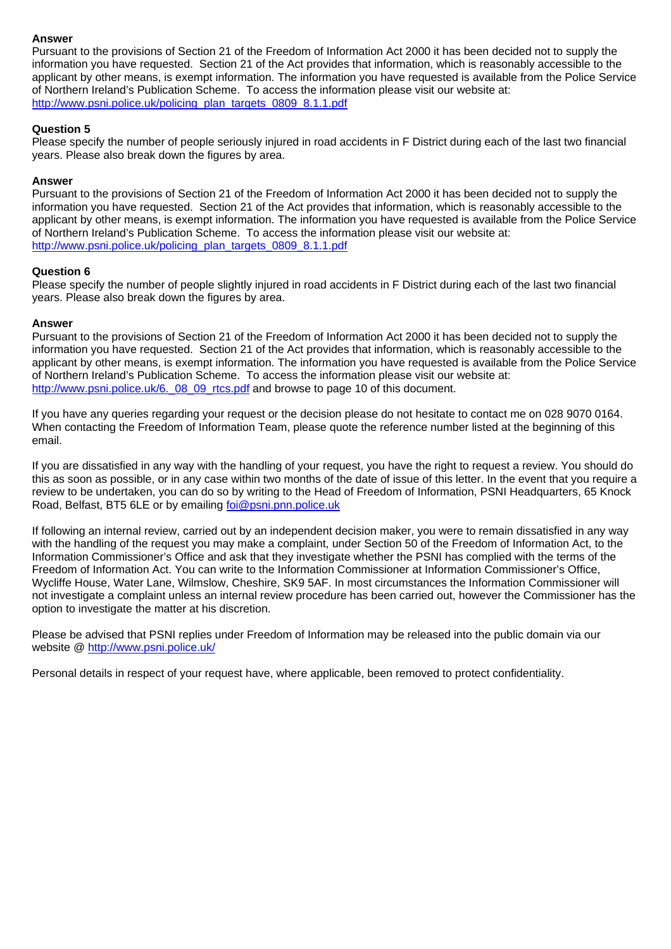# **Answer**

Pursuant to the provisions of Section 21 of the Freedom of Information Act 2000 it has been decided not to supply the information you have requested. Section 21 of the Act provides that information, which is reasonably accessible to the applicant by other means, is exempt information. The information you have requested is available from the Police Service of Northern Ireland's Publication Scheme. To access the information please visit our website at: http://www.psni.police.uk/policing\_plan\_targets\_0809\_8.1.1.pdf

# **Question 5**

Please specify the number of people seriously injured in road accidents in F District during each of the last two financial years. Please also break down the figures by area.

#### **Answer**

Pursuant to the provisions of Section 21 of the Freedom of Information Act 2000 it has been decided not to supply the information you have requested. Section 21 of the Act provides that information, which is reasonably accessible to the applicant by other means, is exempt information. The information you have requested is available from the Police Service of Northern Ireland's Publication Scheme. To access the information please visit our website at: http://www.psni.police.uk/policing\_plan\_targets\_0809\_8.1.1.pdf

#### **Question 6**

Please specify the number of people slightly injured in road accidents in F District during each of the last two financial years. Please also break down the figures by area.

#### **Answer**

Pursuant to the provisions of Section 21 of the Freedom of Information Act 2000 it has been decided not to supply the information you have requested. Section 21 of the Act provides that information, which is reasonably accessible to the applicant by other means, is exempt information. The information you have requested is available from the Police Service of Northern Ireland's Publication Scheme. To access the information please visit our website at: http://www.psni.police.uk/6.\_08\_09\_rtcs.pdf and browse to page 10 of this document.

If you have any queries regarding your request or the decision please do not hesitate to contact me on 028 9070 0164. When contacting the Freedom of Information Team, please quote the reference number listed at the beginning of this email.

If you are dissatisfied in any way with the handling of your request, you have the right to request a review. You should do this as soon as possible, or in any case within two months of the date of issue of this letter. In the event that you require a review to be undertaken, you can do so by writing to the Head of Freedom of Information, PSNI Headquarters, 65 Knock Road, Belfast, BT5 6LE or by emailing *foi@psni.pnn.police.uk* 

If following an internal review, carried out by an independent decision maker, you were to remain dissatisfied in any way with the handling of the request you may make a complaint, under Section 50 of the Freedom of Information Act, to the Information Commissioner's Office and ask that they investigate whether the PSNI has complied with the terms of the Freedom of Information Act. You can write to the Information Commissioner at Information Commissioner's Office, Wycliffe House, Water Lane, Wilmslow, Cheshire, SK9 5AF. In most circumstances the Information Commissioner will not investigate a complaint unless an internal review procedure has been carried out, however the Commissioner has the option to investigate the matter at his discretion.

Please be advised that PSNI replies under Freedom of Information may be released into the public domain via our website @ http://www.psni.police.uk/

Personal details in respect of your request have, where applicable, been removed to protect confidentiality.